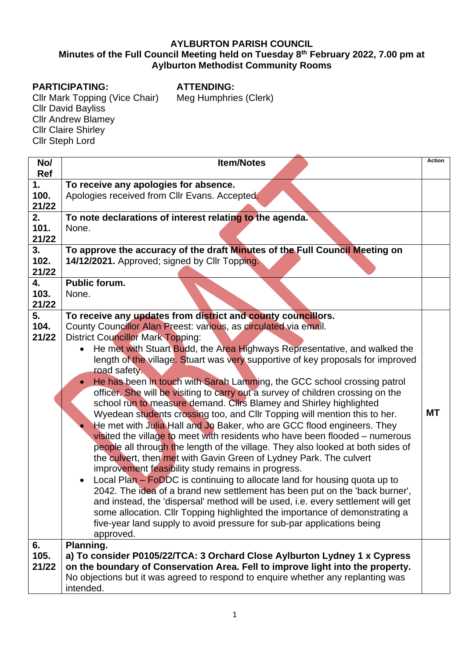## **AYLBURTON PARISH COUNCIL Minutes of the Full Council Meeting held on Tuesday 8 th February 2022, 7.00 pm at Aylburton Methodist Community Rooms**

## **PARTICIPATING:**

**ATTENDING:** Meg Humphries (Clerk)

Cllr Mark Topping (Vice Chair) Cllr David Bayliss Cllr Andrew Blamey Cllr Claire Shirley Cllr Steph Lord

| No/<br>Ref          | <b>Item/Notes</b>                                                                                                                                                                                                                                                                                                                                                                                                                                                                                                                                                                                                                                                                                                                                                                                                                                                                                                                                                                                                                                                                                                                                                                                                                                                                                                                                                                                                                                                           | <b>Action</b> |  |  |
|---------------------|-----------------------------------------------------------------------------------------------------------------------------------------------------------------------------------------------------------------------------------------------------------------------------------------------------------------------------------------------------------------------------------------------------------------------------------------------------------------------------------------------------------------------------------------------------------------------------------------------------------------------------------------------------------------------------------------------------------------------------------------------------------------------------------------------------------------------------------------------------------------------------------------------------------------------------------------------------------------------------------------------------------------------------------------------------------------------------------------------------------------------------------------------------------------------------------------------------------------------------------------------------------------------------------------------------------------------------------------------------------------------------------------------------------------------------------------------------------------------------|---------------|--|--|
| 1.<br>100.<br>21/22 | To receive any apologies for absence.<br>Apologies received from Cllr Evans. Accepted.                                                                                                                                                                                                                                                                                                                                                                                                                                                                                                                                                                                                                                                                                                                                                                                                                                                                                                                                                                                                                                                                                                                                                                                                                                                                                                                                                                                      |               |  |  |
| 2.<br>101.<br>21/22 | To note declarations of interest relating to the agenda.<br>None.                                                                                                                                                                                                                                                                                                                                                                                                                                                                                                                                                                                                                                                                                                                                                                                                                                                                                                                                                                                                                                                                                                                                                                                                                                                                                                                                                                                                           |               |  |  |
| 3.<br>102.<br>21/22 | To approve the accuracy of the draft Minutes of the Full Council Meeting on<br>14/12/2021. Approved; signed by Cllr Topping.                                                                                                                                                                                                                                                                                                                                                                                                                                                                                                                                                                                                                                                                                                                                                                                                                                                                                                                                                                                                                                                                                                                                                                                                                                                                                                                                                |               |  |  |
| 4.<br>103.<br>21/22 | <b>Public forum.</b><br>None.                                                                                                                                                                                                                                                                                                                                                                                                                                                                                                                                                                                                                                                                                                                                                                                                                                                                                                                                                                                                                                                                                                                                                                                                                                                                                                                                                                                                                                               |               |  |  |
| 5.<br>104.<br>21/22 | To receive any updates from district and county councillors.<br>County Councillor Alan Preest: various, as circulated via email.<br><b>District Councillor Mark Topping:</b><br>He met with Stuart Budd, the Area Highways Representative, and walked the<br>length of the village. Stuart was very supportive of key proposals for improved<br>road safety.<br>He has been in touch with Sarah Lamming, the GCC school crossing patrol<br>officer. She will be visiting to carry out a survey of children crossing on the<br>school run to measure demand. Clirs Blamey and Shirley highlighted<br>Wyedean students crossing too, and CIIr Topping will mention this to her.<br>He met with Julia Hall and Jo Baker, who are GCC flood engineers. They<br>visited the village to meet with residents who have been flooded – numerous<br>people all through the length of the village. They also looked at both sides of<br>the culvert, then met with Gavin Green of Lydney Park. The culvert<br>improvement feasibility study remains in progress.<br>Local Plan - FoDDC is continuing to allocate land for housing quota up to<br>2042. The idea of a brand new settlement has been put on the 'back burner',<br>and instead, the 'dispersal' method will be used, i.e. every settlement will get<br>some allocation. Cllr Topping highlighted the importance of demonstrating a<br>five-year land supply to avoid pressure for sub-par applications being<br>approved. | <b>MT</b>     |  |  |
| 6.<br>105.<br>21/22 | Planning.<br>a) To consider P0105/22/TCA: 3 Orchard Close Aylburton Lydney 1 x Cypress<br>on the boundary of Conservation Area. Fell to improve light into the property.<br>No objections but it was agreed to respond to enquire whether any replanting was<br>intended.                                                                                                                                                                                                                                                                                                                                                                                                                                                                                                                                                                                                                                                                                                                                                                                                                                                                                                                                                                                                                                                                                                                                                                                                   |               |  |  |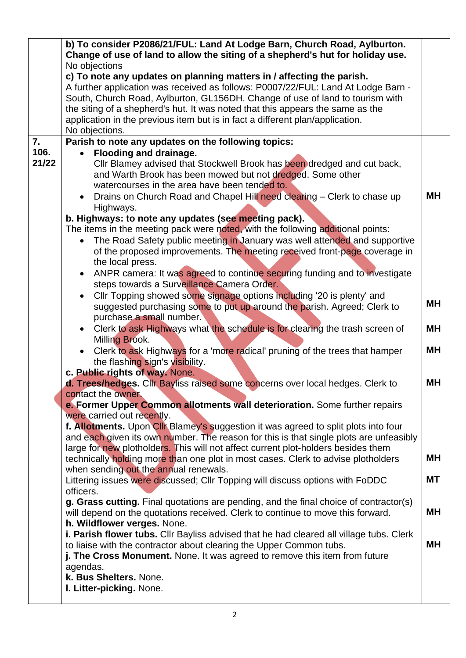|       | b) To consider P2086/21/FUL: Land At Lodge Barn, Church Road, Aylburton.                                          |           |  |  |  |
|-------|-------------------------------------------------------------------------------------------------------------------|-----------|--|--|--|
|       | Change of use of land to allow the siting of a shepherd's hut for holiday use.                                    |           |  |  |  |
|       | No objections                                                                                                     |           |  |  |  |
|       | c) To note any updates on planning matters in / affecting the parish.                                             |           |  |  |  |
|       | A further application was received as follows: P0007/22/FUL: Land At Lodge Barn -                                 |           |  |  |  |
|       | South, Church Road, Aylburton, GL156DH. Change of use of land to tourism with                                     |           |  |  |  |
|       | the siting of a shepherd's hut. It was noted that this appears the same as the                                    |           |  |  |  |
|       | application in the previous item but is in fact a different plan/application.                                     |           |  |  |  |
| 7.    | No objections.<br>Parish to note any updates on the following topics:                                             |           |  |  |  |
| 106.  | Flooding and drainage.<br>$\bullet$                                                                               |           |  |  |  |
| 21/22 | Cllr Blamey advised that Stockwell Brook has been dredged and cut back,                                           |           |  |  |  |
|       | and Warth Brook has been mowed but not dredged. Some other                                                        |           |  |  |  |
|       | watercourses in the area have been tended to.                                                                     |           |  |  |  |
|       | Drains on Church Road and Chapel Hill need clearing - Clerk to chase up                                           | MН        |  |  |  |
|       | Highways.                                                                                                         |           |  |  |  |
|       | b. Highways: to note any updates (see meeting pack).                                                              |           |  |  |  |
|       | The items in the meeting pack were noted, with the following additional points:                                   |           |  |  |  |
|       | The Road Safety public meeting in January was well attended and supportive                                        |           |  |  |  |
|       | of the proposed improvements. The meeting received front-page coverage in                                         |           |  |  |  |
|       | the local press.                                                                                                  |           |  |  |  |
|       | ANPR camera: It was agreed to continue securing funding and to investigate                                        |           |  |  |  |
|       | steps towards a Surveillance Camera Order.                                                                        |           |  |  |  |
|       | Cllr Topping showed some signage options including '20 is plenty' and                                             |           |  |  |  |
|       | suggested purchasing some to put up around the parish. Agreed; Clerk to                                           | MН        |  |  |  |
|       | purchase a small number.                                                                                          |           |  |  |  |
|       | Clerk to ask Highways what the schedule is for clearing the trash screen of                                       | <b>MH</b> |  |  |  |
|       | Milling Brook.                                                                                                    |           |  |  |  |
|       | Clerk to ask Highways for a 'more radical' pruning of the trees that hamper                                       | <b>MH</b> |  |  |  |
|       | the flashing sign's visibility.                                                                                   |           |  |  |  |
|       | c. Public rights of way. None.                                                                                    |           |  |  |  |
|       | d. Trees/hedges. Cllr Bayliss raised some concerns over local hedges. Clerk to                                    | MН        |  |  |  |
|       | contact the owner.                                                                                                |           |  |  |  |
|       | e. Former Upper Common allotments wall deterioration. Some further repairs                                        |           |  |  |  |
|       | were carried out recently.<br>f. Allotments. Upon Cllr Blamey's suggestion it was agreed to split plots into four |           |  |  |  |
|       | and each given its own number. The reason for this is that single plots are unfeasibly                            |           |  |  |  |
|       | large for new plotholders. This will not affect current plot-holders besides them                                 |           |  |  |  |
|       | technically holding more than one plot in most cases. Clerk to advise plotholders                                 | <b>MH</b> |  |  |  |
|       | when sending out the annual renewals.                                                                             |           |  |  |  |
|       | Littering issues were discussed; Cllr Topping will discuss options with FoDDC                                     | MT        |  |  |  |
|       | officers.                                                                                                         |           |  |  |  |
|       | g. Grass cutting. Final quotations are pending, and the final choice of contractor(s)                             |           |  |  |  |
|       | will depend on the quotations received. Clerk to continue to move this forward.                                   | <b>MH</b> |  |  |  |
|       | h. Wildflower verges. None.                                                                                       |           |  |  |  |
|       | i. Parish flower tubs. Cllr Bayliss advised that he had cleared all village tubs. Clerk                           |           |  |  |  |
|       | to liaise with the contractor about clearing the Upper Common tubs.                                               | MН        |  |  |  |
|       | j. The Cross Monument. None. It was agreed to remove this item from future                                        |           |  |  |  |
|       | agendas.                                                                                                          |           |  |  |  |
|       | k. Bus Shelters. None.                                                                                            |           |  |  |  |
|       | I. Litter-picking. None.                                                                                          |           |  |  |  |
|       |                                                                                                                   |           |  |  |  |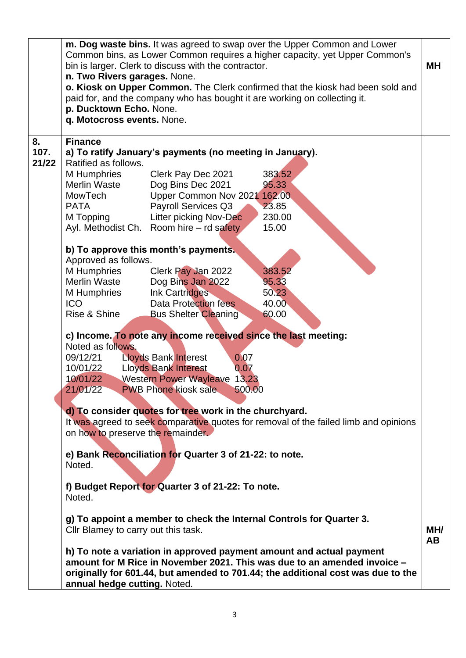|            | n. Two Rivers garages. None.<br>p. Ducktown Echo. None.<br>q. Motocross events. None.                                                                                                                                                                                                                                                                                                                                                                                                                                                                  | bin is larger. Clerk to discuss with the contractor. | m. Dog waste bins. It was agreed to swap over the Upper Common and Lower<br>Common bins, as Lower Common requires a higher capacity, yet Upper Common's<br>o. Kiosk on Upper Common. The Clerk confirmed that the kiosk had been sold and<br>paid for, and the company who has bought it are working on collecting it. | MН               |  |  |  |
|------------|--------------------------------------------------------------------------------------------------------------------------------------------------------------------------------------------------------------------------------------------------------------------------------------------------------------------------------------------------------------------------------------------------------------------------------------------------------------------------------------------------------------------------------------------------------|------------------------------------------------------|------------------------------------------------------------------------------------------------------------------------------------------------------------------------------------------------------------------------------------------------------------------------------------------------------------------------|------------------|--|--|--|
| 8.<br>107. | <b>Finance</b><br>a) To ratify January's payments (no meeting in January).<br>Ratified as follows.                                                                                                                                                                                                                                                                                                                                                                                                                                                     |                                                      |                                                                                                                                                                                                                                                                                                                        |                  |  |  |  |
| 21/22      |                                                                                                                                                                                                                                                                                                                                                                                                                                                                                                                                                        |                                                      |                                                                                                                                                                                                                                                                                                                        |                  |  |  |  |
|            | M Humphries                                                                                                                                                                                                                                                                                                                                                                                                                                                                                                                                            | Clerk Pay Dec 2021                                   | 383.52                                                                                                                                                                                                                                                                                                                 |                  |  |  |  |
|            | <b>Merlin Waste</b>                                                                                                                                                                                                                                                                                                                                                                                                                                                                                                                                    | Dog Bins Dec 2021                                    | 95.33                                                                                                                                                                                                                                                                                                                  |                  |  |  |  |
|            | <b>MowTech</b>                                                                                                                                                                                                                                                                                                                                                                                                                                                                                                                                         | Upper Common Nov 2021                                | 162.00                                                                                                                                                                                                                                                                                                                 |                  |  |  |  |
|            | <b>PATA</b>                                                                                                                                                                                                                                                                                                                                                                                                                                                                                                                                            | Payroll Services Q3                                  | 23.85                                                                                                                                                                                                                                                                                                                  |                  |  |  |  |
|            | M Topping                                                                                                                                                                                                                                                                                                                                                                                                                                                                                                                                              | Litter picking Nov-Dec                               | 230.00                                                                                                                                                                                                                                                                                                                 |                  |  |  |  |
|            |                                                                                                                                                                                                                                                                                                                                                                                                                                                                                                                                                        | Ayl. Methodist Ch. Room hire – rd safety             | 15.00                                                                                                                                                                                                                                                                                                                  |                  |  |  |  |
|            |                                                                                                                                                                                                                                                                                                                                                                                                                                                                                                                                                        |                                                      |                                                                                                                                                                                                                                                                                                                        |                  |  |  |  |
|            |                                                                                                                                                                                                                                                                                                                                                                                                                                                                                                                                                        | b) To approve this month's payments.                 |                                                                                                                                                                                                                                                                                                                        |                  |  |  |  |
|            | Approved as follows.                                                                                                                                                                                                                                                                                                                                                                                                                                                                                                                                   |                                                      |                                                                                                                                                                                                                                                                                                                        |                  |  |  |  |
|            | M Humphries                                                                                                                                                                                                                                                                                                                                                                                                                                                                                                                                            | Clerk Pay Jan 2022                                   | 383.52                                                                                                                                                                                                                                                                                                                 |                  |  |  |  |
|            | <b>Merlin Waste</b>                                                                                                                                                                                                                                                                                                                                                                                                                                                                                                                                    | Dog Bins Jan 2022                                    | 95.33                                                                                                                                                                                                                                                                                                                  |                  |  |  |  |
|            | M Humphries                                                                                                                                                                                                                                                                                                                                                                                                                                                                                                                                            | Ink Cartridges                                       | 50.23                                                                                                                                                                                                                                                                                                                  |                  |  |  |  |
|            | <b>ICO</b>                                                                                                                                                                                                                                                                                                                                                                                                                                                                                                                                             | Data Protection fees                                 | 40.00                                                                                                                                                                                                                                                                                                                  |                  |  |  |  |
|            | Rise & Shine                                                                                                                                                                                                                                                                                                                                                                                                                                                                                                                                           | <b>Bus Shelter Cleaning</b>                          | 60.00                                                                                                                                                                                                                                                                                                                  |                  |  |  |  |
|            | c) Income. To note any income received since the last meeting:<br>Noted as follows.<br>09/12/21<br><b>Lloyds Bank Interest</b><br>0.07<br><b>Lloyds Bank Interest</b><br>10/01/22<br>0.07<br><b>Western Power Wayleave</b><br>10/01/22<br>13.23<br><b>PWB Phone kiosk sale</b><br>21/01/22<br>500.00<br>d) To consider quotes for tree work in the churchyard.<br>It was agreed to seek comparative quotes for removal of the failed limb and opinions<br>on how to preserve the remainder.<br>e) Bank Reconciliation for Quarter 3 of 21-22: to note. |                                                      |                                                                                                                                                                                                                                                                                                                        |                  |  |  |  |
|            | Noted.                                                                                                                                                                                                                                                                                                                                                                                                                                                                                                                                                 |                                                      |                                                                                                                                                                                                                                                                                                                        |                  |  |  |  |
|            | Noted.                                                                                                                                                                                                                                                                                                                                                                                                                                                                                                                                                 | f) Budget Report for Quarter 3 of 21-22: To note.    |                                                                                                                                                                                                                                                                                                                        |                  |  |  |  |
|            | Cllr Blamey to carry out this task.                                                                                                                                                                                                                                                                                                                                                                                                                                                                                                                    |                                                      | g) To appoint a member to check the Internal Controls for Quarter 3.                                                                                                                                                                                                                                                   | MH/<br><b>AB</b> |  |  |  |
|            | h) To note a variation in approved payment amount and actual payment<br>amount for M Rice in November 2021. This was due to an amended invoice -<br>originally for 601.44, but amended to 701.44; the additional cost was due to the<br>annual hedge cutting. Noted.                                                                                                                                                                                                                                                                                   |                                                      |                                                                                                                                                                                                                                                                                                                        |                  |  |  |  |